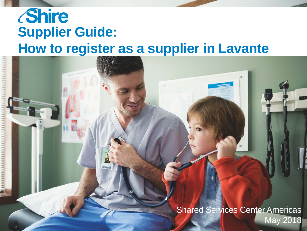# *Shire* **Supplier Guide: How to register as a supplier in Lavante**

**Shared Services Center Americas** May 2018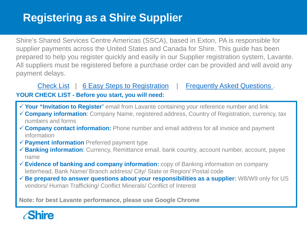#### <span id="page-1-0"></span>**Registering as a Shire Supplier**

Shire's Shared Services Centre Americas (SSCA), based in Exton, PA is responsible for supplier payments across the United States and Canada for Shire. This guide has been prepared to help you register quickly and easily in our Supplier registration system, Lavante. All suppliers must be registered before a purchase order can be provided and will avoid any payment delays.

#### [Check List](#page-1-0) | [6 Easy Steps to Registration](#page-2-0) | Frequently Asked Questions.

**YOUR CHECK LIST - Before you start, you will need:** 

- **Your "Invitation to Register**" email from Lavante containing your reference number and link
- **Company information**: Company Name, registered address, Country of Registration, currency, tax numbers and forms
- **Company contact information:** Phone number and email address for all invoice and payment information
- **Payment information** Preferred payment type
- **Banking information**: Currency, Remittance email, bank country, account number, account, payee name
- **Evidence of banking and company information:** copy of Banking information on company letterhead, Bank Name/ Branch address/ City/ State or Region/ Postal code
- $\checkmark$  **Be prepared to answer questions about your responsibilities as a supplier:** W8/W9 only for US vendors/ Human Trafficking/ Conflict Minerals/ Conflict of Interest

**Note: for best Lavante performance, please use Google Chrome**

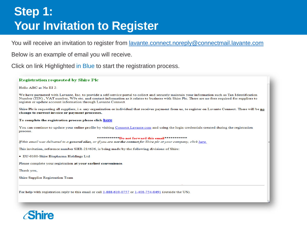### <span id="page-2-0"></span>**Step 1: Your Invitation to Register**

You will receive an invitation to register from [lavante.connect.noreply@connectmail.lavante.com](mailto:lavante.connect.noreply@connectmail.lavante.com)

Below is an example of email you will receive.

Click on link Highlighted in Blue to start the registration process.

#### **Registration requested by Shire Plc**

Hello ABC at No EI 2:

We have partnered with Lavante, Inc. to provide a self-service portal to collect and securely maintain your information such as Tax Identification Number (TIN), VAT number, W9s etc. and contact information as it relates to business with Shire Plc. There are no fees required for suppliers to register or update account information through Lavante Connect.

Shire Plc is requesting all suppliers, i.e. any organization or individual that receives payment from us, to register on Lavante Connect. There will be no change to current invoice or payment processes.

To complete the registration process please click here

You can continue to update your online profile by visiting Connect. Lavante.com and using the login credentials created during the registration process.

#### \*\*\*\*\*\*\*\*\*\*\*\*Do not forward this email\*\*\*\*\*\*\*\*\*\*\*

If this email was delivered to a general alias, or if you are not the contact for Shire plc at your company, click here.

This invitation, reference number SHR-214636, is being made by the following divisions of Shire:

· EU-0100-Shire Biopharma Holdings Ltd

Please complete your registration at your earliest convenience.

Thank you,

Shire Supplier Registration Team

For help with registration reply to this email or call 1-888-610-0757 or 1-408-754-0491 (outside the US).

Shira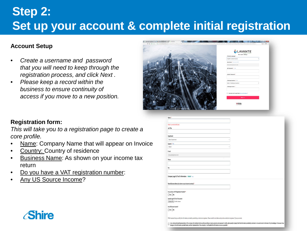### **Step 2: Set up your account & complete initial registration**

#### **Account Setup**

- *Create a username and password that you will need to keep through the registration process, and click Next .*
- *Please keep a record within the business to ensure continuity of access if you move to a new position.*



#### **Registration form:**

*This will take you to a registration page to create a core profile.* 

- Name: Company Name that will appear on Invoice
- Country: Country of residence
- Business Name: As shown on your income tax return
- Do you have a VAT registration number:
- Any US Source Income?

| Name: *                                                                                                                                                                         |  |
|---------------------------------------------------------------------------------------------------------------------------------------------------------------------------------|--|
| 'Name' cannot be left blank.                                                                                                                                                    |  |
| Job Title:                                                                                                                                                                      |  |
|                                                                                                                                                                                 |  |
|                                                                                                                                                                                 |  |
| Department:                                                                                                                                                                     |  |
| Select Department                                                                                                                                                               |  |
| Country: * Heb                                                                                                                                                                  |  |
| Iteland                                                                                                                                                                         |  |
| E-mail:                                                                                                                                                                         |  |
| drewcullen@eircom.net                                                                                                                                                           |  |
|                                                                                                                                                                                 |  |
| Phone:                                                                                                                                                                          |  |
|                                                                                                                                                                                 |  |
| Fax                                                                                                                                                                             |  |
|                                                                                                                                                                                 |  |
|                                                                                                                                                                                 |  |
|                                                                                                                                                                                 |  |
| Company Legal ID/Tax ID Information: Ireland mes-                                                                                                                               |  |
|                                                                                                                                                                                 |  |
| Name/Business Name (As shown on your income tax return) *                                                                                                                       |  |
|                                                                                                                                                                                 |  |
| Do you have a VAT Registration Number?*                                                                                                                                         |  |
| ○Yes ○No                                                                                                                                                                        |  |
| Upload Legal ID/Tax ID Document                                                                                                                                                 |  |
| Choose File No file chosen                                                                                                                                                      |  |
|                                                                                                                                                                                 |  |
| Any US Source Income?:                                                                                                                                                          |  |
| ○Yes ○No                                                                                                                                                                        |  |
| PRGX requires that you certify the information provided by submitting an electronic signature. Please read the text below and provide an electronic signature (Type your name). |  |

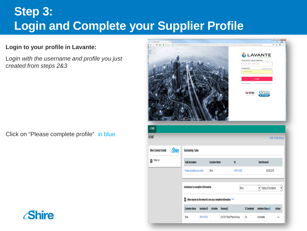### **Step 3: Login and Complete your Supplier Profile**

#### **Login to your profile in Lavante:**

L*ogin with the username and profile you just created from steps 2&3* 

Click on "Please complete profile" in blue



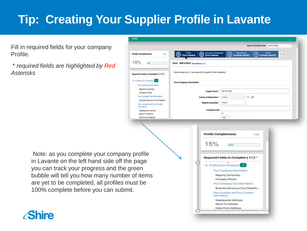## **Tip: Creating Your Supplier Profile in Lavante**

HOME

 $15%$ 

Fill in required fields for your company Profile.

\* *required fields are highlighted by Red Asterisks*

> Note: as you complete your company profile in Lavante on the left hand side off the page you can track your progress and the green bubble will tell you how many number of items are yet to be completed, all profiles must be 100% complete before you can submit.



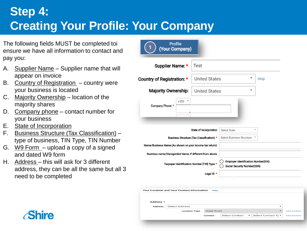## **Step 4: Creating Your Profile: Your Company**

The following fields MUST be completed toi ensure we have all information to contact and pay you:

- A. Supplier Name Supplier name that will appear on invoice
- B. Country of Registration country were your business is located
- C. Majority Ownership location of the majority shares
- D. Company phone contact number for your business
- E. State of Incorporation
- F. Business Structure (Tax Classification) type of business, TIN Type, TIN Number
- G. W9 Form upload a copy of a signed and dated W9 form
- H. Address this will ask for 3 different address, they can be all the same but all 3 need to be completed

| Profile<br>(Your Company)                                |                       |                                                                      |                                                         |                                                                    |                   |                            |
|----------------------------------------------------------|-----------------------|----------------------------------------------------------------------|---------------------------------------------------------|--------------------------------------------------------------------|-------------------|----------------------------|
| Supplier Name: *                                         |                       | Test                                                                 |                                                         |                                                                    |                   |                            |
| Country of Registration: *                               |                       | <b>United States</b>                                                 |                                                         | v                                                                  | Help              |                            |
| Majority Ownership:                                      |                       | <b>United States</b>                                                 |                                                         | v                                                                  |                   |                            |
| Company Phone: *                                         | $+353$ $*$            |                                                                      |                                                         |                                                                    |                   |                            |
|                                                          |                       | State of Incorporation<br>Business Structure (Tax Classification): * | <b>Select State</b><br><b>Select Business Structure</b> | $\overline{\mathbf{v}}$                                            |                   |                            |
| Name/Business Name (As shown on your income tax return): |                       |                                                                      |                                                         |                                                                    |                   |                            |
| Business name/Disregarded Name, if different from above: |                       | Taxpayer Identification Number [TIN] Type: *                         |                                                         | Employer Identification Number(EIN)<br>Social Security Number(SSN) |                   |                            |
|                                                          |                       | Legal ID *                                                           |                                                         |                                                                    |                   |                            |
| Your Location and Your Contact Information               |                       | Help                                                                 |                                                         |                                                                    |                   |                            |
| Address 1<br>Address:                                    | <b>Select Address</b> |                                                                      |                                                         |                                                                    | ۰                 |                            |
|                                                          |                       | <b>Order From</b><br><b>Location Type:</b><br>Contact:               | <b>Select Contact</b>                                   | ٠                                                                  | Select Contact Ty | Add another<br>Add another |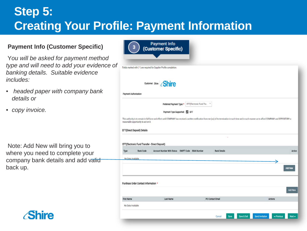### **Step 5: Creating Your Profile: Payment Information**

#### **Payment Info (Customer Specific)**

Y*ou will be asked for payment method type and will need to add your evidence of banking details. Suitable evidence includes:*

- *headed paper with company bank details or*
- *copy invoice.*

Note: Add New will bring you to where you need to complete your company bank details and add valid back up.

|                                                                                                                                                    | Fields marked with (*) are required for Supplier Profile completion.                                                                                                                                         |                          |                     |  |                |
|----------------------------------------------------------------------------------------------------------------------------------------------------|--------------------------------------------------------------------------------------------------------------------------------------------------------------------------------------------------------------|--------------------------|---------------------|--|----------------|
|                                                                                                                                                    | Customer: Shire Shire                                                                                                                                                                                        |                          |                     |  |                |
| Payment Authorization                                                                                                                              |                                                                                                                                                                                                              |                          |                     |  |                |
|                                                                                                                                                    | Preferred Payment Type:                                                                                                                                                                                      | EFT(Electronic Fund Tra. |                     |  |                |
|                                                                                                                                                    | Payment Type Supported: EFT                                                                                                                                                                                  |                          |                     |  |                |
|                                                                                                                                                    | This authority is to remain in full force and effect until COMPANY has received a written notification from me (us) of its termination in such time and in such manner as to afford COMPANY and DEPOSITORY a |                          |                     |  |                |
| <b>Bank Code</b>                                                                                                                                   | Account Number With Status SWIFT Code IBAN Number                                                                                                                                                            |                          | <b>Bank Details</b> |  |                |
| reasonable opportunity to act on it.<br>EFT(Direct Deposit) Details<br>EFT(Electronic Fund Transfer - Direct Deposit)<br>Type<br>No Data Available |                                                                                                                                                                                                              |                          |                     |  | Action         |
|                                                                                                                                                    |                                                                                                                                                                                                              |                          |                     |  | <b>Add New</b> |
| Purchase Order Contact Information *                                                                                                               |                                                                                                                                                                                                              |                          |                     |  |                |
|                                                                                                                                                    |                                                                                                                                                                                                              |                          |                     |  | Add New        |

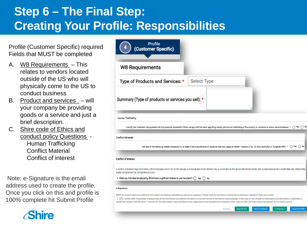## **Step 6 – The Final Step: Creating Your Profile: Responsibilities**

Profile (Customer Specific) required Fields that MUST be completed

- A. W8 Requirements This relates to vendors located outside of the US who will physically come to the US to conduct business
- B. Product and services will your company be providing goods or a service and just a brief description.
- C. Shire code of Ethics and conduct policy Questions - Human Trafficking Conflict Material Conflict of interest

Note: e-Signature is the email address used to create the profile. Once you click on this and profile is 100% complete hit Submit Profile



| W8 Requirements                                                                                                                                                                                                                   |                                                                                                                                                                                                                                                                                                                                                                                                                                                                                                                            |
|-----------------------------------------------------------------------------------------------------------------------------------------------------------------------------------------------------------------------------------|----------------------------------------------------------------------------------------------------------------------------------------------------------------------------------------------------------------------------------------------------------------------------------------------------------------------------------------------------------------------------------------------------------------------------------------------------------------------------------------------------------------------------|
|                                                                                                                                                                                                                                   |                                                                                                                                                                                                                                                                                                                                                                                                                                                                                                                            |
| Type of Products and Services: *                                                                                                                                                                                                  | Select Type                                                                                                                                                                                                                                                                                                                                                                                                                                                                                                                |
| Summary (Type of products or services you sell): *                                                                                                                                                                                |                                                                                                                                                                                                                                                                                                                                                                                                                                                                                                                            |
| Human Trafficking                                                                                                                                                                                                                 |                                                                                                                                                                                                                                                                                                                                                                                                                                                                                                                            |
|                                                                                                                                                                                                                                   |                                                                                                                                                                                                                                                                                                                                                                                                                                                                                                                            |
|                                                                                                                                                                                                                                   |                                                                                                                                                                                                                                                                                                                                                                                                                                                                                                                            |
|                                                                                                                                                                                                                                   | I certify that materials incorporated into the products provided to Shire comply with the laws regarding slavery and human trafficking of the country or countries in which we do business.: * ○ Yes ○ No                                                                                                                                                                                                                                                                                                                  |
|                                                                                                                                                                                                                                   |                                                                                                                                                                                                                                                                                                                                                                                                                                                                                                                            |
|                                                                                                                                                                                                                                   |                                                                                                                                                                                                                                                                                                                                                                                                                                                                                                                            |
|                                                                                                                                                                                                                                   | Are any of the following metals necessary to, or used in the manufacture of, products that you supply to Shire? Tantalum (Ta), Tin (Sn), Gold (Au) or Tungsten (W)? :* ( ) Yes ( ) No                                                                                                                                                                                                                                                                                                                                      |
|                                                                                                                                                                                                                                   |                                                                                                                                                                                                                                                                                                                                                                                                                                                                                                                            |
|                                                                                                                                                                                                                                   | A conflict of interest may exist when a Shire employee and/or his or her spouse or emancipated minor children has a connection to the above referenced vendor, and a reasonable person would think this relationship                                                                                                                                                                                                                                                                                                       |
|                                                                                                                                                                                                                                   |                                                                                                                                                                                                                                                                                                                                                                                                                                                                                                                            |
|                                                                                                                                                                                                                                   |                                                                                                                                                                                                                                                                                                                                                                                                                                                                                                                            |
|                                                                                                                                                                                                                                   |                                                                                                                                                                                                                                                                                                                                                                                                                                                                                                                            |
| <b>Conflict Minerals</b><br>Conflict of Interest<br>would compromise the competitive process.<br>Does any individual employed by Shire have a significant interest in your business?: $\bigcirc$ Yes $\bigcirc$ No<br>e-Signature | PRGX Inc requires that you certify the information provided by submitting an electronic signature. Please read the text below and provide an electronic signature (Type your name)                                                                                                                                                                                                                                                                                                                                         |
|                                                                                                                                                                                                                                   | +   I certify under the penalty of perjury that all the information provided by me herein is true and correct to the best of my knowledge. In the case of any change to information provided herein, I undertake to<br>update this system with the same. I consent for the information I have provided on this registration to be transferred to countries which may not offer the same level of protection as my home country.<br><b>Send Invitation</b><br><b>Submit Profile</b><br><b>Save &amp; Exit</b><br>« Previous |